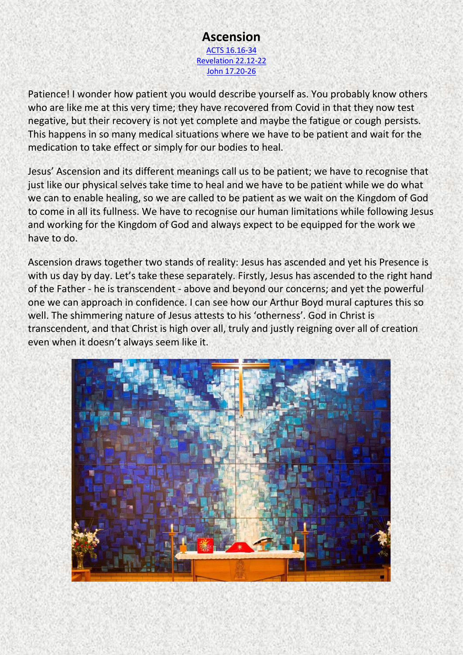## **Ascension**  [ACTS 16.16-34](https://www.biblegateway.com/passage/?search=Acts%2016%3A16-34&version=NIV) [Revelation 22.12-22](https://www.biblegateway.com/passage/?search=Revelation+22.12-22&version=NIV) [John 17.20-26](https://www.biblegateway.com/passage/?search=John+17.20-26&version=NIV)

Patience! I wonder how patient you would describe yourself as. You probably know others who are like me at this very time; they have recovered from Covid in that they now test negative, but their recovery is not yet complete and maybe the fatigue or cough persists. This happens in so many medical situations where we have to be patient and wait for the medication to take effect or simply for our bodies to heal.

Jesus' Ascension and its different meanings call us to be patient; we have to recognise that just like our physical selves take time to heal and we have to be patient while we do what we can to enable healing, so we are called to be patient as we wait on the Kingdom of God to come in all its fullness. We have to recognise our human limitations while following Jesus and working for the Kingdom of God and always expect to be equipped for the work we have to do.

Ascension draws together two stands of reality: Jesus has ascended and yet his Presence is with us day by day. Let's take these separately. Firstly, Jesus has ascended to the right hand of the Father - he is transcendent - above and beyond our concerns; and yet the powerful one we can approach in confidence. I can see how our Arthur Boyd mural captures this so well. The shimmering nature of Jesus attests to his 'otherness'. God in Christ is transcendent, and that Christ is high over all, truly and justly reigning over all of creation even when it doesn't always seem like it.

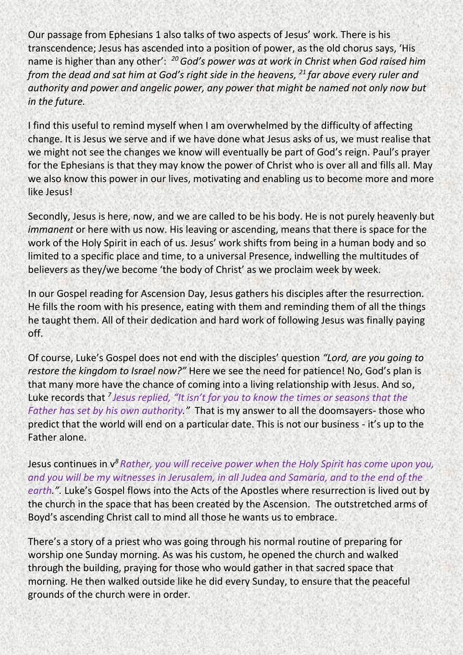Our passage from Ephesians 1 also talks of two aspects of Jesus' work. There is his transcendence; Jesus has ascended into a position of power, as the old chorus says, 'His name is higher than any other': *<sup>20</sup>God's power was at work in Christ when God raised him from the dead and sat him at God's right side in the heavens, <sup>21</sup> far above every ruler and authority and power and angelic power, any power that might be named not only now but in the future.*

I find this useful to remind myself when I am overwhelmed by the difficulty of affecting change. It is Jesus we serve and if we have done what Jesus asks of us, we must realise that we might not see the changes we know will eventually be part of God's reign. Paul's prayer for the Ephesians is that they may know the power of Christ who is over all and fills all. May we also know this power in our lives, motivating and enabling us to become more and more like Jesus!

Secondly, Jesus is here, now, and we are called to be his body. He is not purely heavenly but *immanent* or here with us now. His leaving or ascending, means that there is space for the work of the Holy Spirit in each of us. Jesus' work shifts from being in a human body and so limited to a specific place and time, to a universal Presence, indwelling the multitudes of believers as they/we become 'the body of Christ' as we proclaim week by week.

In our Gospel reading for Ascension Day, Jesus gathers his disciples after the resurrection. He fills the room with his presence, eating with them and reminding them of all the things he taught them. All of their dedication and hard work of following Jesus was finally paying off.

Of course, Luke's Gospel does not end with the disciples' question *"Lord, are you going to restore the kingdom to Israel now?"* Here we see the need for patience! No, God's plan is that many more have the chance of coming into a living relationship with Jesus. And so, Luke records that <sup>7</sup> Jesus replied, "It isn't for you to know the times or seasons that the *Father has set by his own authority."* That is my answer to all the doomsayers- those who predict that the world will end on a particular date. This is not our business - it's up to the Father alone.

Jesus continues in v*<sup>8</sup> Rather, you will receive power when the Holy Spirit has come upon you, and you will be my witnesses in Jerusalem, in all Judea and Samaria, and to the end of the earth.".* Luke's Gospel flows into the Acts of the Apostles where resurrection is lived out by the church in the space that has been created by the Ascension. The outstretched arms of Boyd's ascending Christ call to mind all those he wants us to embrace.

There's a story of a priest who was going through his normal routine of preparing for worship one Sunday morning. As was his custom, he opened the church and walked through the building, praying for those who would gather in that sacred space that morning. He then walked outside like he did every Sunday, to ensure that the peaceful grounds of the church were in order.